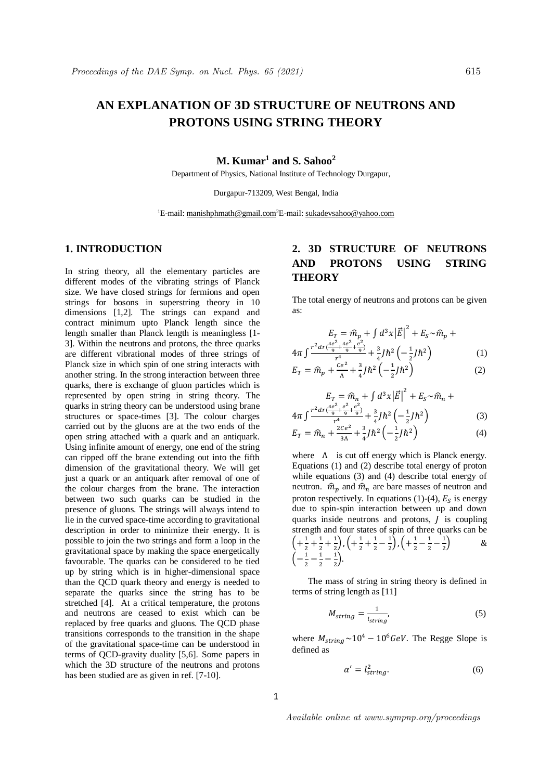# **AN EXPLANATION OF 3D STRUCTURE OF NEUTRONS AND PROTONS USING STRING THEORY**

## **M. Kumar<sup>1</sup> and S. Sahoo<sup>2</sup>**

Department of Physics, National Institute of Technology Durgapur,

Durgapur-713209, West Bengal, India

<sup>1</sup>E-mail: manishphmath@gmail.com<sup>2</sup>E-mail: sukadevsahoo@yahoo.com

### **1. INTRODUCTION**

In string theory, all the elementary particles are different modes of the vibrating strings of Planck size. We have closed strings for fermions and open strings for bosons in superstring theory in 10 dimensions [1,2]. The strings can expand and contract minimum upto Planck length since the length smaller than Planck length is meaningless [1- 3]. Within the neutrons and protons, the three quarks are different vibrational modes of three strings of Planck size in which spin of one string interacts with another string. In the strong interaction between three quarks, there is exchange of gluon particles which is represented by open string in string theory. The quarks in string theory can be understood using brane structures or space-times [3]. The colour charges carried out by the gluons are at the two ends of the open string attached with a quark and an antiquark. Using infinite amount of energy, one end of the string can ripped off the brane extending out into the fifth dimension of the gravitational theory. We will get just a quark or an antiquark after removal of one of the colour charges from the brane. The interaction between two such quarks can be studied in the presence of gluons. The strings will always intend to lie in the curved space-time according to gravitational description in order to minimize their energy. It is possible to join the two strings and form a loop in the gravitational space by making the space energetically favourable. The quarks can be considered to be tied up by string which is in higher-dimensional space than the QCD quark theory and energy is needed to separate the quarks since the string has to be stretched [4]. At a critical temperature, the protons and neutrons are ceased to exist which can be replaced by free quarks and gluons. The QCD phase transitions corresponds to the transition in the shape of the gravitational space-time can be understood in terms of QCD-gravity duality [5,6]. Some papers in which the 3D structure of the neutrons and protons has been studied are as given in ref. [7-10].

## **2. 3D STRUCTURE OF NEUTRONS AND PROTONS USING STRING THEORY**

The total energy of neutrons and protons can be given as:

$$
E_T = \hat{m}_p + \int d^3x |\vec{E}|^2 + E_S \sim \hat{m}_p + 4\pi \int \frac{r^2 dr (\frac{4e^2}{9} + \frac{4e^2}{9})^2}{r^4} + \frac{3}{4} J \hbar^2 \left( -\frac{1}{2} J \hbar^2 \right)
$$
(1)

$$
E_T = \widehat{m}_p + \frac{ce^2}{\Lambda} + \frac{3}{4}J\hbar^2 \left(-\frac{1}{2}J\hbar^2\right) \tag{2}
$$

$$
E_T = \hat{m}_n + \int d^3x |\vec{E}|^2 + E_S \sim \hat{m}_n + 4\pi \int \frac{r^2 dr \left(\frac{4e^2}{9} + \frac{e^2}{9} + \frac{e^2}{9}\right)}{r^4} + \frac{3}{4}J\hbar^2 \left(-\frac{1}{2}J\hbar^2\right)
$$
(3)

$$
E_T = \hat{m}_n + \frac{2ce^2}{3\Lambda} + \frac{3}{4}J\hbar^2 \left(-\frac{1}{2}J\hbar^2\right) \tag{4}
$$

where  $\Lambda$  is cut off energy which is Planck energy. Equations (1) and (2) describe total energy of proton while equations (3) and (4) describe total energy of neutron.  $\hat{m}_p$  and  $\hat{m}_n$  are bare masses of neutron and proton respectively. In equations (1)-(4),  $E<sub>S</sub>$  is energy due to spin-spin interaction between up and down quarks inside neutrons and protons,  *is coupling* strength and four states of spin of three quarks can be  $\left( +\frac{1}{2}\right)$  $\frac{1}{2} + \frac{1}{2}$  $\frac{1}{2} + \frac{1}{2}$  $\frac{1}{2}$ ,  $\left(+\frac{1}{2}\right)$  $\frac{1}{2} + \frac{1}{2}$  $\frac{1}{2} - \frac{1}{2}$  $\frac{1}{2}$ ,  $\left(+\frac{1}{2}\right)$  $\frac{1}{2} - \frac{1}{2}$  $\frac{1}{2} - \frac{1}{2}$  $\frac{1}{2}$  &  $\left(-\frac{1}{2}\right)$  $\frac{1}{2} - \frac{1}{2}$  $\frac{1}{2} - \frac{1}{2}$  $\frac{1}{2}$ ).

 The mass of string in string theory is defined in terms of string length as [11]

$$
M_{string} = \frac{1}{l_{string}}\tag{5}
$$

where  $M_{string} \sim 10^4 - 10^6 \text{GeV}$ . The Regge Slope is defined as

$$
\alpha' = l_{string}^2. \tag{6}
$$

Available online at www.sympnp.org/proceedings